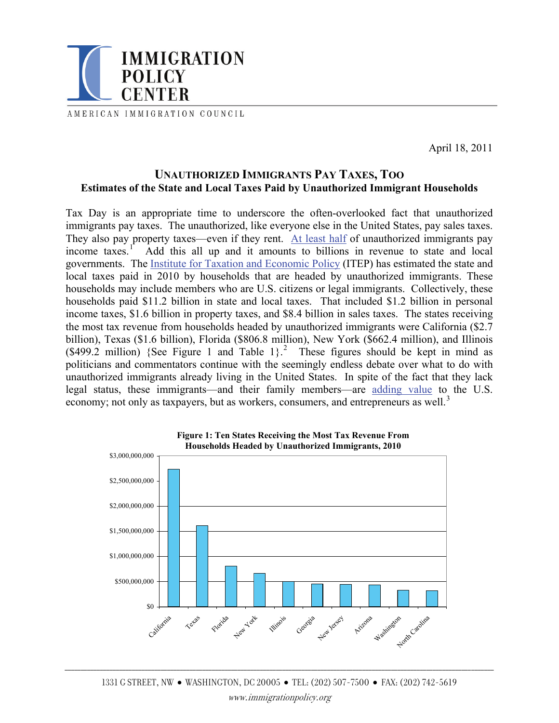

AMERICAN IMMIGRATION COUNCIL

April 18, 2011

## **UNAUTHORIZED IMMIGRANTS PAY TAXES, TOO Estimates of the State and Local Taxes Paid by Unauthorized Immigrant Households**

Tax Day is an appropriate time to underscore the often-overlooked fact that unauthorized immigrants pay taxes. The unauthorized, like everyone else in the United States, pay sales taxes. They also pay property taxes—even if they rent. [At least half](http://www.gpoaccess.gov/eop/2005/2005_erp.pdf#page=104) of unauthorized immigrants pay income taxes. $<sup>1</sup>$  $<sup>1</sup>$  $<sup>1</sup>$ </sup> Add this all up and it amounts to billions in revenue to state and local governments. The [Institute for Taxation and Economic Policy](http://www.itepnet.org/) (ITEP) has estimated the state and local taxes paid in 2010 by households that are headed by unauthorized immigrants. These households may include members who are U.S. citizens or legal immigrants. Collectively, these households paid \$11.2 billion in state and local taxes. That included \$1.2 billion in personal income taxes, \$1.6 billion in property taxes, and \$8.4 billion in sales taxes. The states receiving the most tax revenue from households headed by unauthorized immigrants were California (\$2.7 billion), Texas (\$1.6 billion), Florida (\$806.8 million), New York (\$662.4 million), and Illinois  $(\$499.2$  $(\$499.2$  million) {See Figure 1 and Table 1}.<sup>2</sup> These figures should be kept in mind as politicians and commentators continue with the seemingly endless debate over what to do with unauthorized immigrants already living in the United States. In spite of the fact that they lack legal status, these immigrants—and their family members—are [adding value](http://www.immigrationpolicy.org/sites/default/files/docs/Value_Added_031011.pdf) to the U.S. economy; not only as taxpayers, but as workers, consumers, and entrepreneurs as well.<sup>[3](#page-2-1)</sup>



\_\_\_\_\_\_\_\_\_\_\_\_\_\_\_\_\_\_\_\_\_\_\_\_\_\_\_\_\_\_\_\_\_\_\_\_\_\_\_\_\_\_\_\_\_\_\_\_\_\_\_\_\_\_\_\_\_\_\_\_\_\_\_\_\_\_\_\_\_\_\_\_\_\_\_\_\_\_\_\_\_\_\_\_\_\_\_\_\_\_\_\_\_\_\_\_\_\_\_\_\_\_\_\_\_\_\_\_\_\_\_\_\_\_\_\_\_\_\_\_\_\_\_\_\_\_\_\_\_\_\_\_\_\_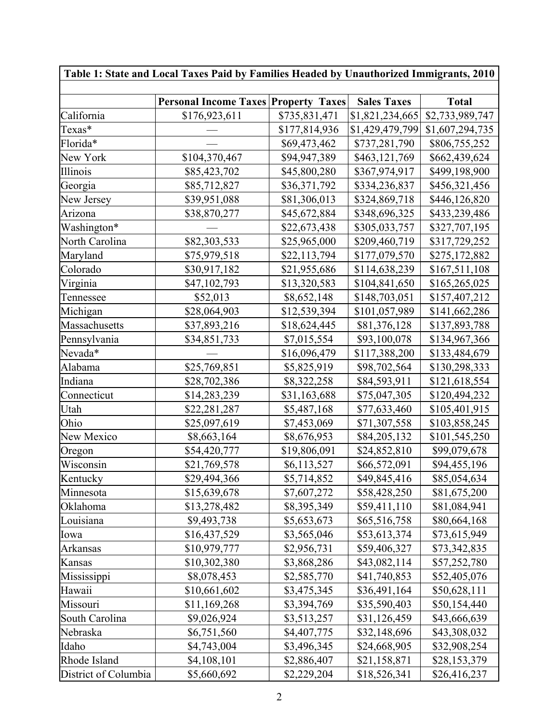| Table 1: State and Local Taxes Paid by Families Headed by Unauthorized Immigrants, 2010 |                                             |               |                    |                 |  |
|-----------------------------------------------------------------------------------------|---------------------------------------------|---------------|--------------------|-----------------|--|
|                                                                                         | <b>Personal Income Taxes Property Taxes</b> |               | <b>Sales Taxes</b> | <b>Total</b>    |  |
| California                                                                              | \$176,923,611                               | \$735,831,471 | \$1,821,234,665    | \$2,733,989,747 |  |
| Texas*                                                                                  |                                             | \$177,814,936 | \$1,429,479,799    | \$1,607,294,735 |  |
| Florida*                                                                                |                                             | \$69,473,462  | \$737,281,790      | \$806,755,252   |  |
| New York                                                                                | \$104,370,467                               | \$94,947,389  | \$463,121,769      | \$662,439,624   |  |
| Illinois                                                                                | \$85,423,702                                | \$45,800,280  | \$367,974,917      | \$499,198,900   |  |
| Georgia                                                                                 | \$85,712,827                                | \$36,371,792  | \$334,236,837      | \$456,321,456   |  |
| New Jersey                                                                              | \$39,951,088                                | \$81,306,013  | \$324,869,718      | \$446,126,820   |  |
| Arizona                                                                                 | \$38,870,277                                | \$45,672,884  | \$348,696,325      | \$433,239,486   |  |
| Washington*                                                                             |                                             | \$22,673,438  | \$305,033,757      | \$327,707,195   |  |
| North Carolina                                                                          | \$82,303,533                                | \$25,965,000  | \$209,460,719      | \$317,729,252   |  |
| Maryland                                                                                | \$75,979,518                                | \$22,113,794  | \$177,079,570      | \$275,172,882   |  |
| Colorado                                                                                | \$30,917,182                                | \$21,955,686  | \$114,638,239      | \$167,511,108   |  |
| Virginia                                                                                | \$47,102,793                                | \$13,320,583  | \$104,841,650      | \$165,265,025   |  |
| Tennessee                                                                               | \$52,013                                    | \$8,652,148   | \$148,703,051      | \$157,407,212   |  |
| Michigan                                                                                | \$28,064,903                                | \$12,539,394  | \$101,057,989      | \$141,662,286   |  |
| Massachusetts                                                                           | \$37,893,216                                | \$18,624,445  | \$81,376,128       | \$137,893,788   |  |
| Pennsylvania                                                                            | \$34,851,733                                | \$7,015,554   | \$93,100,078       | \$134,967,366   |  |
| Nevada*                                                                                 |                                             | \$16,096,479  | \$117,388,200      | \$133,484,679   |  |
| Alabama                                                                                 | \$25,769,851                                | \$5,825,919   | \$98,702,564       | \$130,298,333   |  |
| Indiana                                                                                 | \$28,702,386                                | \$8,322,258   | \$84,593,911       | \$121,618,554   |  |
| Connecticut                                                                             | \$14,283,239                                | \$31,163,688  | \$75,047,305       | \$120,494,232   |  |
| Utah                                                                                    | \$22,281,287                                | \$5,487,168   | \$77,633,460       | \$105,401,915   |  |
| Ohio                                                                                    | \$25,097,619                                | \$7,453,069   | \$71,307,558       | \$103,858,245   |  |
| New Mexico                                                                              | \$8,663,164                                 | \$8,676,953   | \$84,205,132       | \$101,545,250   |  |
| Oregon                                                                                  | \$54,420,777                                | \$19,806,091  | \$24,852,810       | \$99,079,678    |  |
| Wisconsin                                                                               | \$21,769,578                                | \$6,113,527   | \$66,572,091       | \$94,455,196    |  |
| Kentucky                                                                                | \$29,494,366                                | \$5,714,852   | \$49,845,416       | \$85,054,634    |  |
| Minnesota                                                                               | \$15,639,678                                | \$7,607,272   | \$58,428,250       | \$81,675,200    |  |
| Oklahoma                                                                                | \$13,278,482                                | \$8,395,349   | \$59,411,110       | \$81,084,941    |  |
| Louisiana                                                                               | \$9,493,738                                 | \$5,653,673   | \$65,516,758       | \$80,664,168    |  |
| Iowa                                                                                    | \$16,437,529                                | \$3,565,046   | \$53,613,374       | \$73,615,949    |  |
| Arkansas                                                                                | \$10,979,777                                | \$2,956,731   | \$59,406,327       | \$73,342,835    |  |
| Kansas                                                                                  | \$10,302,380                                | \$3,868,286   | \$43,082,114       | \$57,252,780    |  |
| Mississippi                                                                             | \$8,078,453                                 | \$2,585,770   | \$41,740,853       | \$52,405,076    |  |
| Hawaii                                                                                  | \$10,661,602                                | \$3,475,345   | \$36,491,164       | \$50,628,111    |  |
| Missouri                                                                                | \$11,169,268                                | \$3,394,769   | \$35,590,403       | \$50,154,440    |  |
| South Carolina                                                                          | \$9,026,924                                 | \$3,513,257   | \$31,126,459       | \$43,666,639    |  |
| Nebraska                                                                                | \$6,751,560                                 | \$4,407,775   | \$32,148,696       | \$43,308,032    |  |
| Idaho                                                                                   | \$4,743,004                                 | \$3,496,345   | \$24,668,905       | \$32,908,254    |  |
| Rhode Island                                                                            | \$4,108,101                                 | \$2,886,407   | \$21,158,871       | \$28,153,379    |  |
| District of Columbia                                                                    | \$5,660,692                                 | \$2,229,204   | \$18,526,341       | \$26,416,237    |  |